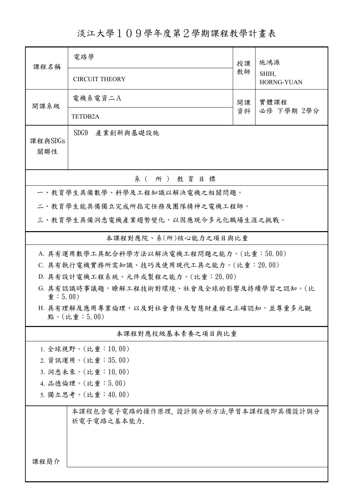淡江大學109學年度第2學期課程教學計畫表

|                                                                            | 電路學                                                  |            |                     |  |  |  |
|----------------------------------------------------------------------------|------------------------------------------------------|------------|---------------------|--|--|--|
| 課程名稱                                                                       |                                                      |            | 施鴻源                 |  |  |  |
|                                                                            | <b>CIRCUIT THEORY</b>                                | 教師         | SHIH,<br>HORNG-YUAN |  |  |  |
| 開課系級                                                                       | 電機系電資二A                                              | 實體課程<br>開課 |                     |  |  |  |
|                                                                            | TETDB2A                                              | 資料         | 必修 下學期 2學分          |  |  |  |
| 課程與SDGs                                                                    | SDG9<br>產業創新與基礎設施                                    |            |                     |  |  |  |
| 關聯性                                                                        |                                                      |            |                     |  |  |  |
|                                                                            | 系 (所) 教育目標                                           |            |                     |  |  |  |
| 一、教育學生具備數學、科學及工程知識以解決電機之相關問題。                                              |                                                      |            |                     |  |  |  |
|                                                                            | 二、教育學生能具備獨立完成所指定任務及團隊精神之電機工程師。                       |            |                     |  |  |  |
|                                                                            | 三、教育學生具備洞悉電機產業趨勢變化,以因應現今多元化職場生涯之挑戰。                  |            |                     |  |  |  |
|                                                                            | 本課程對應院、系(所)核心能力之項目與比重                                |            |                     |  |  |  |
|                                                                            | A. 具有運用數學工具配合科學方法以解決電機工程問題之能力。(比重:50.00)             |            |                     |  |  |  |
|                                                                            | C. 具有執行電機實務所需知識、技巧及使用現代工具之能力。(比重:20.00)              |            |                     |  |  |  |
|                                                                            | D. 具有設計電機工程系統、元件或製程之能力。(比重: 20.00)                   |            |                     |  |  |  |
| G. 具有認識時事議題,瞭解工程技術對環境、社會及全球的影響及持續學習之認知。(比<br>$\hat{\mathbf{\Psi}}$ : 5.00) |                                                      |            |                     |  |  |  |
| H. 具有理解及應用專業倫理,以及對社會責任及智慧財產權之正確認知,並尊重多元觀<br>點。(比重:5.00)                    |                                                      |            |                     |  |  |  |
| 本課程對應校級基本素養之項目與比重                                                          |                                                      |            |                     |  |  |  |
| $1.$ 全球視野。(比重:10.00)                                                       |                                                      |            |                     |  |  |  |
| 2. 資訊運用。(比重:35.00)                                                         |                                                      |            |                     |  |  |  |
| 3. 洞悉未來。(比重:10.00)                                                         |                                                      |            |                     |  |  |  |
| 4. 品德倫理。(比重:5.00)                                                          |                                                      |            |                     |  |  |  |
| 5. 獨立思考。(比重:40.00)                                                         |                                                      |            |                     |  |  |  |
|                                                                            | 本課程包含電子電路的操作原理, 設計與分析方法,學習本課程後即具備設計與分<br>析電子電路之基本能力. |            |                     |  |  |  |
|                                                                            |                                                      |            |                     |  |  |  |
| 课程简介                                                                       |                                                      |            |                     |  |  |  |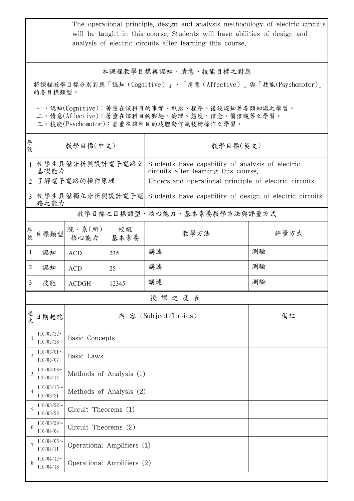|                                                                                                                                                                                                  | The operational principle, design and analysis methodology of electric circuits<br>will be taught in this course. Students will have abilities of design and<br>analysis of electric circuits after learning this course. |                            |            |                                                                                          |      |  |
|--------------------------------------------------------------------------------------------------------------------------------------------------------------------------------------------------|---------------------------------------------------------------------------------------------------------------------------------------------------------------------------------------------------------------------------|----------------------------|------------|------------------------------------------------------------------------------------------|------|--|
| 本課程教學目標與認知、情意、技能目標之對應<br>將課程教學目標分別對應「認知(Cognitive)」、「情意(Affective)」與「技能(Psychomotor)」<br>的各目標類型。<br>一、認知(Cognitive):著重在該科目的事實、概念、程序、後設認知等各類知識之學習。<br>二、情意(Affective):著重在該科目的興趣、倫理、態度、信念、價值觀等之學習。 |                                                                                                                                                                                                                           |                            |            |                                                                                          |      |  |
| 序號                                                                                                                                                                                               | 三、技能(Psychomotor):著重在該科目的肢體動作或技術操作之學習。<br>教學目標(中文)                                                                                                                                                                        |                            |            | 教學目標(英文)                                                                                 |      |  |
| $\mathbf{1}$                                                                                                                                                                                     | 基礎能力                                                                                                                                                                                                                      | 使學生具備分析與設計電子電路之            |            | Students have capability of analysis of electric<br>circuits after learning this course. |      |  |
| $\overline{2}$                                                                                                                                                                                   |                                                                                                                                                                                                                           | 了解電子電路的操作原理                |            | Understand operational principle of electric circuits                                    |      |  |
| 3 <sup>1</sup>                                                                                                                                                                                   | 路之能力                                                                                                                                                                                                                      |                            |            | 使學生具備獨立分析與設計電子電 Students have capability of design of electric circuits                  |      |  |
|                                                                                                                                                                                                  |                                                                                                                                                                                                                           |                            |            | 教學目標之目標類型、核心能力、基本素養教學方法與評量方式                                                             |      |  |
| 序號                                                                                                                                                                                               | 目標類型                                                                                                                                                                                                                      | 院、系(所)<br>核心能力             | 校級<br>基本素養 | 教學方法                                                                                     | 評量方式 |  |
| $\mathbf{1}$                                                                                                                                                                                     | 認知                                                                                                                                                                                                                        | <b>ACD</b>                 | 235        | 講述                                                                                       | 測驗   |  |
| 2                                                                                                                                                                                                | 認知                                                                                                                                                                                                                        | <b>ACD</b>                 | 25         | 講述                                                                                       | 測驗   |  |
| $\mathcal{L}$                                                                                                                                                                                    | 技能                                                                                                                                                                                                                        | <b>ACDGH</b>               | 12345      | 講述                                                                                       | 測驗   |  |
|                                                                                                                                                                                                  |                                                                                                                                                                                                                           |                            |            | 授課進度表                                                                                    |      |  |
| 週<br>次                                                                                                                                                                                           | 日期起訖                                                                                                                                                                                                                      |                            |            | 內 容 (Subject/Topics)                                                                     | 備註   |  |
|                                                                                                                                                                                                  | $110/02/22$ ~<br>110/02/28                                                                                                                                                                                                | Basic Concepts             |            |                                                                                          |      |  |
| 2                                                                                                                                                                                                | $110/03/01$ ~<br>110/03/07                                                                                                                                                                                                | Basic Laws                 |            |                                                                                          |      |  |
| 3                                                                                                                                                                                                | $110/03/08$ ~<br>110/03/14                                                                                                                                                                                                | Methods of Analysis (1)    |            |                                                                                          |      |  |
| 4                                                                                                                                                                                                | $110/03/15$ ~<br>110/03/21                                                                                                                                                                                                | Methods of Analysis (2)    |            |                                                                                          |      |  |
| 5                                                                                                                                                                                                | $110/03/22$ ~<br>110/03/28                                                                                                                                                                                                | Circuit Theorems (1)       |            |                                                                                          |      |  |
| 6                                                                                                                                                                                                | $110/03/29$ ~<br>110/04/04                                                                                                                                                                                                | Circuit Theorems (2)       |            |                                                                                          |      |  |
| 7                                                                                                                                                                                                | $110/04/05$ ~<br>110/04/11                                                                                                                                                                                                | Operational Amplifiers (1) |            |                                                                                          |      |  |
|                                                                                                                                                                                                  | $110/04/12$ ~<br>110/04/18                                                                                                                                                                                                | Operational Amplifiers (2) |            |                                                                                          |      |  |